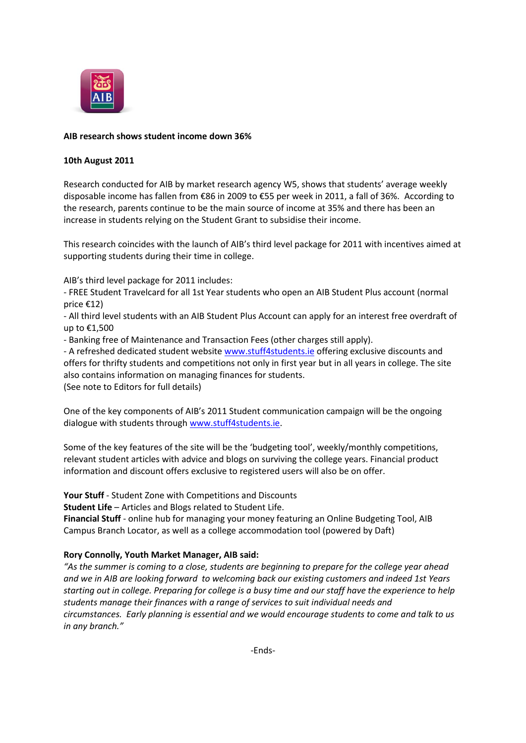

## **AIB research shows student income down 36%**

### **10th August 2011**

Research conducted for AIB by market research agency W5, shows that students' average weekly disposable income has fallen from €86 in 2009 to €55 per week in 2011, a fall of 36%. According to the research, parents continue to be the main source of income at 35% and there has been an increase in students relying on the Student Grant to subsidise their income.

This research coincides with the launch of AIB's third level package for 2011 with incentives aimed at supporting students during their time in college.

AIB's third level package for 2011 includes:

- FREE Student Travelcard for all 1st Year students who open an AIB Student Plus account (normal price €12)

- All third level students with an AIB Student Plus Account can apply for an interest free overdraft of up to €1,500

- Banking free of Maintenance and Transaction Fees (other charges still apply).

- A refreshed dedicated student website [www.stuff4students.ie](http://www.stuff4students.ie/) offering exclusive discounts and offers for thrifty students and competitions not only in first year but in all years in college. The site also contains information on managing finances for students.

(See note to Editors for full details)

One of the key components of AIB's 2011 Student communication campaign will be the ongoing dialogue with students throug[h www.stuff4students.ie.](http://www.stuff4students.ie/)

Some of the key features of the site will be the 'budgeting tool', weekly/monthly competitions, relevant student articles with advice and blogs on surviving the college years. Financial product information and discount offers exclusive to registered users will also be on offer.

**Your Stuff** - Student Zone with Competitions and Discounts

**Student Life** – Articles and Blogs related to Student Life.

**Financial Stuff** - online hub for managing your money featuring an Online Budgeting Tool, AIB Campus Branch Locator, as well as a college accommodation tool (powered by Daft)

# **Rory Connolly, Youth Market Manager, AIB said:**

*"As the summer is coming to a close, students are beginning to prepare for the college year ahead and we in AIB are looking forward to welcoming back our existing customers and indeed 1st Years starting out in college. Preparing for college is a busy time and our staff have the experience to help students manage their finances with a range of services to suit individual needs and circumstances. Early planning is essential and we would encourage students to come and talk to us in any branch."*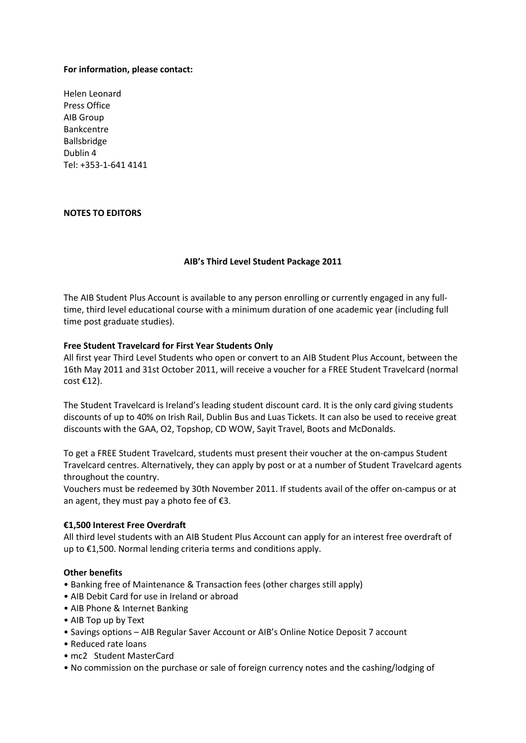### **For information, please contact:**

Helen Leonard Press Office AIB Group Bankcentre Ballsbridge Dublin 4 Tel: +353-1-641 4141

## **NOTES TO EDITORS**

## **AIB's Third Level Student Package 2011**

The AIB Student Plus Account is available to any person enrolling or currently engaged in any fulltime, third level educational course with a minimum duration of one academic year (including full time post graduate studies).

### **Free Student Travelcard for First Year Students Only**

All first year Third Level Students who open or convert to an AIB Student Plus Account, between the 16th May 2011 and 31st October 2011, will receive a voucher for a FREE Student Travelcard (normal cost €12).

The Student Travelcard is Ireland's leading student discount card. It is the only card giving students discounts of up to 40% on Irish Rail, Dublin Bus and Luas Tickets. It can also be used to receive great discounts with the GAA, O2, Topshop, CD WOW, Sayit Travel, Boots and McDonalds.

To get a FREE Student Travelcard, students must present their voucher at the on-campus Student Travelcard centres. Alternatively, they can apply by post or at a number of Student Travelcard agents throughout the country.

Vouchers must be redeemed by 30th November 2011. If students avail of the offer on-campus or at an agent, they must pay a photo fee of  $E$ 3.

### **€1,500 Interest Free Overdraft**

All third level students with an AIB Student Plus Account can apply for an interest free overdraft of up to €1,500. Normal lending criteria terms and conditions apply.

### **Other benefits**

- Banking free of Maintenance & Transaction fees (other charges still apply)
- AIB Debit Card for use in Ireland or abroad
- AIB Phone & Internet Banking
- AIB Top up by Text
- Savings options AIB Regular Saver Account or AIB's Online Notice Deposit 7 account
- Reduced rate loans
- mc2 Student MasterCard
- No commission on the purchase or sale of foreign currency notes and the cashing/lodging of